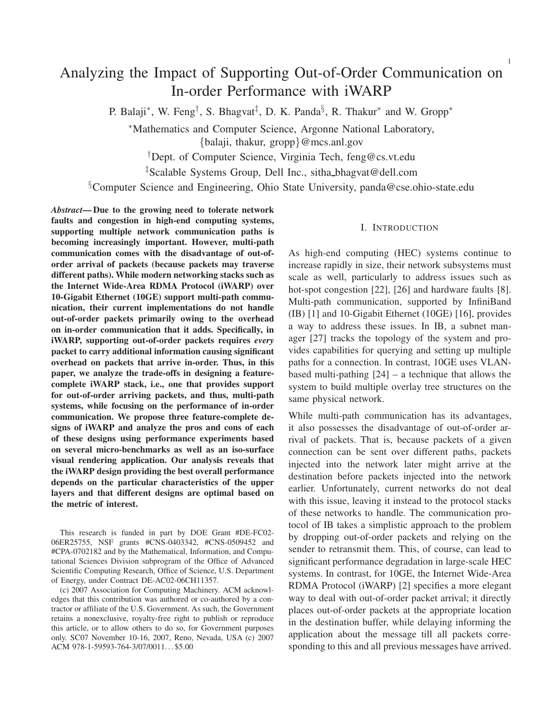# Analyzing the Impact of Supporting Out-of-Order Communication on In-order Performance with iWARP

P. Balaji<sup>\*</sup>, W. Feng<sup>†</sup>, S. Bhagvat<sup>‡</sup>, D. K. Panda<sup>§</sup>, R. Thakur<sup>\*</sup> and W. Gropp<sup>\*</sup>

<sup>∗</sup>Mathematics and Computer Science, Argonne National Laboratory, {balaji, thakur, gropp}@mcs.anl.gov

†Dept. of Computer Science, Virginia Tech, feng@cs.vt.edu

‡Scalable Systems Group, Dell Inc., sitha bhagvat@dell.com

§Computer Science and Engineering, Ohio State University, panda@cse.ohio-state.edu

*Abstract***— Due to the growing need to tolerate network faults and congestion in high-end computing systems, supporting multiple network communication paths is becoming increasingly important. However, multi-path communication comes with the disadvantage of out-oforder arrival of packets (because packets may traverse different paths). While modern networking stacks such as the Internet Wide-Area RDMA Protocol (iWARP) over 10-Gigabit Ethernet (10GE) support multi-path communication, their current implementations do not handle out-of-order packets primarily owing to the overhead on in-order communication that it adds. Specifically, in iWARP, supporting out-of-order packets requires** *every* **packet to carry additional information causing significant overhead on packets that arrive in-order. Thus, in this paper, we analyze the trade-offs in designing a featurecomplete iWARP stack, i.e., one that provides support for out-of-order arriving packets, and thus, multi-path systems, while focusing on the performance of in-order communication. We propose three feature-complete designs of iWARP and analyze the pros and cons of each of these designs using performance experiments based on several micro-benchmarks as well as an iso-surface visual rendering application. Our analysis reveals that the iWARP design providing the best overall performance depends on the particular characteristics of the upper layers and that different designs are optimal based on the metric of interest.**

This research is funded in part by DOE Grant #DE-FC02- 06ER25755, NSF grants #CNS-0403342, #CNS-0509452 and #CPA-0702182 and by the Mathematical, Information, and Computational Sciences Division subprogram of the Office of Advanced Scientific Computing Research, Office of Science, U.S. Department of Energy, under Contract DE-AC02-06CH11357.

(c) 2007 Association for Computing Machinery. ACM acknowledges that this contribution was authored or co-authored by a contractor or affiliate of the U.S. Government. As such, the Government retains a nonexclusive, royalty-free right to publish or reproduce this article, or to allow others to do so, for Government purposes only. SC07 November 10-16, 2007, Reno, Nevada, USA (c) 2007 ACM 978-1-59593-764-3/07/0011. . . \$5.00

#### I. INTRODUCTION

1

As high-end computing (HEC) systems continue to increase rapidly in size, their network subsystems must scale as well, particularly to address issues such as hot-spot congestion [22], [26] and hardware faults [8]. Multi-path communication, supported by InfiniBand (IB) [1] and 10-Gigabit Ethernet (10GE) [16], provides a way to address these issues. In IB, a subnet manager [27] tracks the topology of the system and provides capabilities for querying and setting up multiple paths for a connection. In contrast, 10GE uses VLANbased multi-pathing  $[24]$  – a technique that allows the system to build multiple overlay tree structures on the same physical network.

While multi-path communication has its advantages, it also possesses the disadvantage of out-of-order arrival of packets. That is, because packets of a given connection can be sent over different paths, packets injected into the network later might arrive at the destination before packets injected into the network earlier. Unfortunately, current networks do not deal with this issue, leaving it instead to the protocol stacks of these networks to handle. The communication protocol of IB takes a simplistic approach to the problem by dropping out-of-order packets and relying on the sender to retransmit them. This, of course, can lead to significant performance degradation in large-scale HEC systems. In contrast, for 10GE, the Internet Wide-Area RDMA Protocol (iWARP) [2] specifies a more elegant way to deal with out-of-order packet arrival; it directly places out-of-order packets at the appropriate location in the destination buffer, while delaying informing the application about the message till all packets corresponding to this and all previous messages have arrived.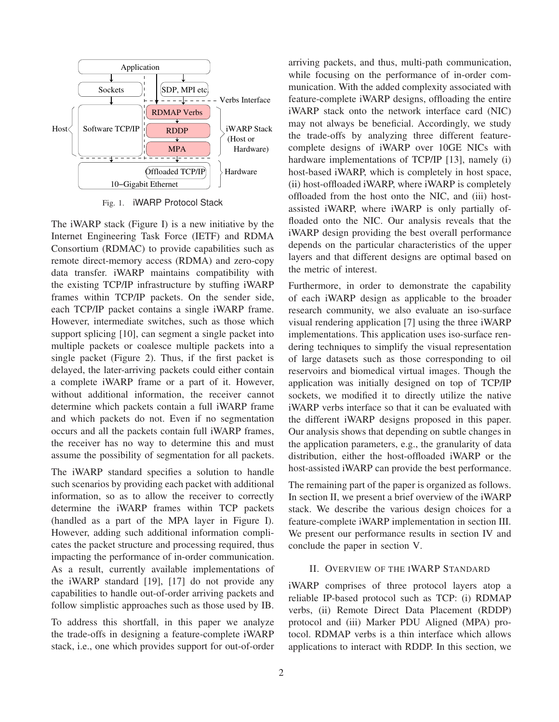

Fig. 1. iWARP Protocol Stack

The iWARP stack (Figure I) is a new initiative by the Internet Engineering Task Force (IETF) and RDMA Consortium (RDMAC) to provide capabilities such as remote direct-memory access (RDMA) and zero-copy data transfer. iWARP maintains compatibility with the existing TCP/IP infrastructure by stuffing iWARP frames within TCP/IP packets. On the sender side, each TCP/IP packet contains a single iWARP frame. However, intermediate switches, such as those which support splicing [10], can segment a single packet into multiple packets or coalesce multiple packets into a single packet (Figure 2). Thus, if the first packet is delayed, the later-arriving packets could either contain a complete iWARP frame or a part of it. However, without additional information, the receiver cannot determine which packets contain a full iWARP frame and which packets do not. Even if no segmentation occurs and all the packets contain full iWARP frames, the receiver has no way to determine this and must assume the possibility of segmentation for all packets.

The iWARP standard specifies a solution to handle such scenarios by providing each packet with additional information, so as to allow the receiver to correctly determine the iWARP frames within TCP packets (handled as a part of the MPA layer in Figure I). However, adding such additional information complicates the packet structure and processing required, thus impacting the performance of in-order communication. As a result, currently available implementations of the iWARP standard [19], [17] do not provide any capabilities to handle out-of-order arriving packets and follow simplistic approaches such as those used by IB.

To address this shortfall, in this paper we analyze the trade-offs in designing a feature-complete iWARP stack, i.e., one which provides support for out-of-order arriving packets, and thus, multi-path communication, while focusing on the performance of in-order communication. With the added complexity associated with feature-complete iWARP designs, offloading the entire iWARP stack onto the network interface card (NIC) may not always be beneficial. Accordingly, we study the trade-offs by analyzing three different featurecomplete designs of iWARP over 10GE NICs with hardware implementations of TCP/IP [13], namely (i) host-based iWARP, which is completely in host space, (ii) host-offloaded iWARP, where iWARP is completely offloaded from the host onto the NIC, and (iii) hostassisted iWARP, where iWARP is only partially offloaded onto the NIC. Our analysis reveals that the iWARP design providing the best overall performance depends on the particular characteristics of the upper layers and that different designs are optimal based on the metric of interest.

Furthermore, in order to demonstrate the capability of each iWARP design as applicable to the broader research community, we also evaluate an iso-surface visual rendering application [7] using the three iWARP implementations. This application uses iso-surface rendering techniques to simplify the visual representation of large datasets such as those corresponding to oil reservoirs and biomedical virtual images. Though the application was initially designed on top of TCP/IP sockets, we modified it to directly utilize the native iWARP verbs interface so that it can be evaluated with the different iWARP designs proposed in this paper. Our analysis shows that depending on subtle changes in the application parameters, e.g., the granularity of data distribution, either the host-offloaded iWARP or the host-assisted iWARP can provide the best performance.

The remaining part of the paper is organized as follows. In section II, we present a brief overview of the iWARP stack. We describe the various design choices for a feature-complete iWARP implementation in section III. We present our performance results in section IV and conclude the paper in section V.

#### II. OVERVIEW OF THE IWARP STANDARD

iWARP comprises of three protocol layers atop a reliable IP-based protocol such as TCP: (i) RDMAP verbs, (ii) Remote Direct Data Placement (RDDP) protocol and (iii) Marker PDU Aligned (MPA) protocol. RDMAP verbs is a thin interface which allows applications to interact with RDDP. In this section, we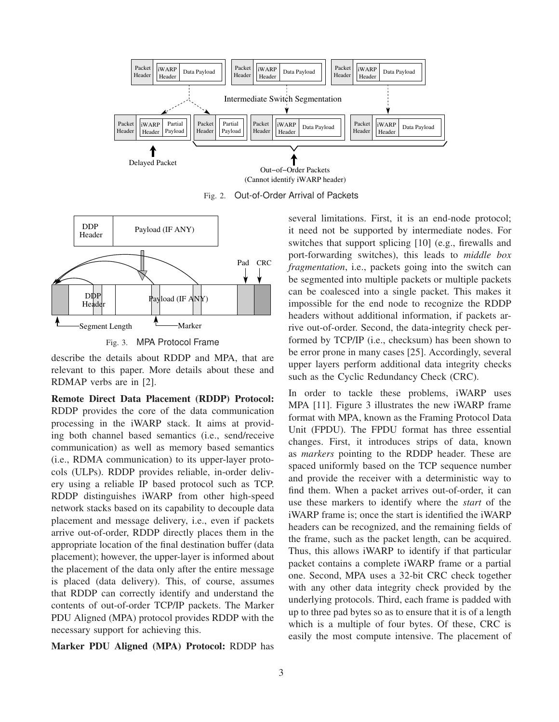

Fig. 2. Out-of-Order Arrival of Packets



Fig. 3. MPA Protocol Frame

describe the details about RDDP and MPA, that are relevant to this paper. More details about these and RDMAP verbs are in [2].

**Remote Direct Data Placement (RDDP) Protocol:** RDDP provides the core of the data communication processing in the iWARP stack. It aims at providing both channel based semantics (i.e., send/receive communication) as well as memory based semantics (i.e., RDMA communication) to its upper-layer protocols (ULPs). RDDP provides reliable, in-order delivery using a reliable IP based protocol such as TCP. RDDP distinguishes iWARP from other high-speed network stacks based on its capability to decouple data placement and message delivery, i.e., even if packets arrive out-of-order, RDDP directly places them in the appropriate location of the final destination buffer (data placement); however, the upper-layer is informed about the placement of the data only after the entire message is placed (data delivery). This, of course, assumes that RDDP can correctly identify and understand the contents of out-of-order TCP/IP packets. The Marker PDU Aligned (MPA) protocol provides RDDP with the necessary support for achieving this.

**Marker PDU Aligned (MPA) Protocol:** RDDP has

several limitations. First, it is an end-node protocol; it need not be supported by intermediate nodes. For switches that support splicing [10] (e.g., firewalls and port-forwarding switches), this leads to *middle box fragmentation*, i.e., packets going into the switch can be segmented into multiple packets or multiple packets can be coalesced into a single packet. This makes it impossible for the end node to recognize the RDDP headers without additional information, if packets arrive out-of-order. Second, the data-integrity check performed by TCP/IP (i.e., checksum) has been shown to be error prone in many cases [25]. Accordingly, several upper layers perform additional data integrity checks such as the Cyclic Redundancy Check (CRC).

In order to tackle these problems, iWARP uses MPA [11]. Figure 3 illustrates the new iWARP frame format with MPA, known as the Framing Protocol Data Unit (FPDU). The FPDU format has three essential changes. First, it introduces strips of data, known as *markers* pointing to the RDDP header. These are spaced uniformly based on the TCP sequence number and provide the receiver with a deterministic way to find them. When a packet arrives out-of-order, it can use these markers to identify where the *start* of the iWARP frame is; once the start is identified the iWARP headers can be recognized, and the remaining fields of the frame, such as the packet length, can be acquired. Thus, this allows iWARP to identify if that particular packet contains a complete iWARP frame or a partial one. Second, MPA uses a 32-bit CRC check together with any other data integrity check provided by the underlying protocols. Third, each frame is padded with up to three pad bytes so as to ensure that it is of a length which is a multiple of four bytes. Of these, CRC is easily the most compute intensive. The placement of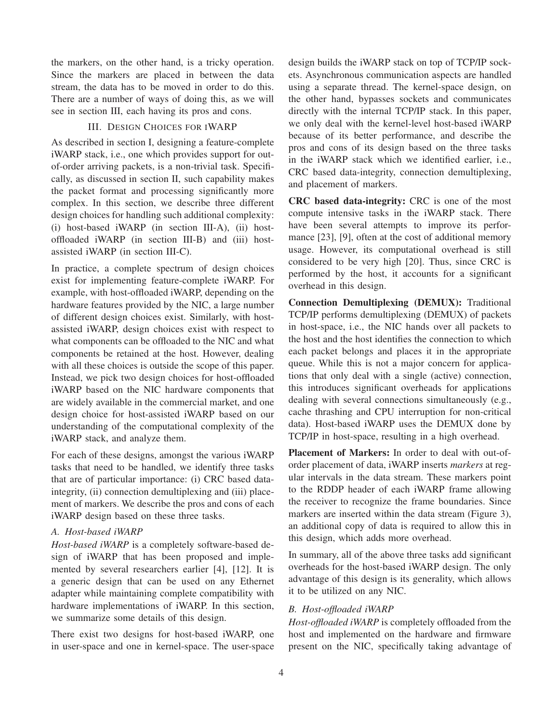the markers, on the other hand, is a tricky operation. Since the markers are placed in between the data stream, the data has to be moved in order to do this. There are a number of ways of doing this, as we will see in section III, each having its pros and cons.

#### III. DESIGN CHOICES FOR IWARP

As described in section I, designing a feature-complete iWARP stack, i.e., one which provides support for outof-order arriving packets, is a non-trivial task. Specifically, as discussed in section II, such capability makes the packet format and processing significantly more complex. In this section, we describe three different design choices for handling such additional complexity: (i) host-based iWARP (in section III-A), (ii) hostoffloaded iWARP (in section III-B) and (iii) hostassisted iWARP (in section III-C).

In practice, a complete spectrum of design choices exist for implementing feature-complete iWARP. For example, with host-offloaded iWARP, depending on the hardware features provided by the NIC, a large number of different design choices exist. Similarly, with hostassisted iWARP, design choices exist with respect to what components can be offloaded to the NIC and what components be retained at the host. However, dealing with all these choices is outside the scope of this paper. Instead, we pick two design choices for host-offloaded iWARP based on the NIC hardware components that are widely available in the commercial market, and one design choice for host-assisted iWARP based on our understanding of the computational complexity of the iWARP stack, and analyze them.

For each of these designs, amongst the various iWARP tasks that need to be handled, we identify three tasks that are of particular importance: (i) CRC based dataintegrity, (ii) connection demultiplexing and (iii) placement of markers. We describe the pros and cons of each iWARP design based on these three tasks.

#### *A. Host-based iWARP*

*Host-based iWARP* is a completely software-based design of iWARP that has been proposed and implemented by several researchers earlier [4], [12]. It is a generic design that can be used on any Ethernet adapter while maintaining complete compatibility with hardware implementations of iWARP. In this section, we summarize some details of this design.

There exist two designs for host-based iWARP, one in user-space and one in kernel-space. The user-space design builds the iWARP stack on top of TCP/IP sockets. Asynchronous communication aspects are handled using a separate thread. The kernel-space design, on the other hand, bypasses sockets and communicates directly with the internal TCP/IP stack. In this paper, we only deal with the kernel-level host-based iWARP because of its better performance, and describe the pros and cons of its design based on the three tasks in the iWARP stack which we identified earlier, i.e., CRC based data-integrity, connection demultiplexing, and placement of markers.

**CRC based data-integrity:** CRC is one of the most compute intensive tasks in the iWARP stack. There have been several attempts to improve its performance [23], [9], often at the cost of additional memory usage. However, its computational overhead is still considered to be very high [20]. Thus, since CRC is performed by the host, it accounts for a significant overhead in this design.

**Connection Demultiplexing (DEMUX):** Traditional TCP/IP performs demultiplexing (DEMUX) of packets in host-space, i.e., the NIC hands over all packets to the host and the host identifies the connection to which each packet belongs and places it in the appropriate queue. While this is not a major concern for applications that only deal with a single (active) connection, this introduces significant overheads for applications dealing with several connections simultaneously (e.g., cache thrashing and CPU interruption for non-critical data). Host-based iWARP uses the DEMUX done by TCP/IP in host-space, resulting in a high overhead.

**Placement of Markers:** In order to deal with out-oforder placement of data, iWARP inserts *markers* at regular intervals in the data stream. These markers point to the RDDP header of each iWARP frame allowing the receiver to recognize the frame boundaries. Since markers are inserted within the data stream (Figure 3), an additional copy of data is required to allow this in this design, which adds more overhead.

In summary, all of the above three tasks add significant overheads for the host-based iWARP design. The only advantage of this design is its generality, which allows it to be utilized on any NIC.

## *B. Host-offloaded iWARP*

*Host-offloaded iWARP* is completely offloaded from the host and implemented on the hardware and firmware present on the NIC, specifically taking advantage of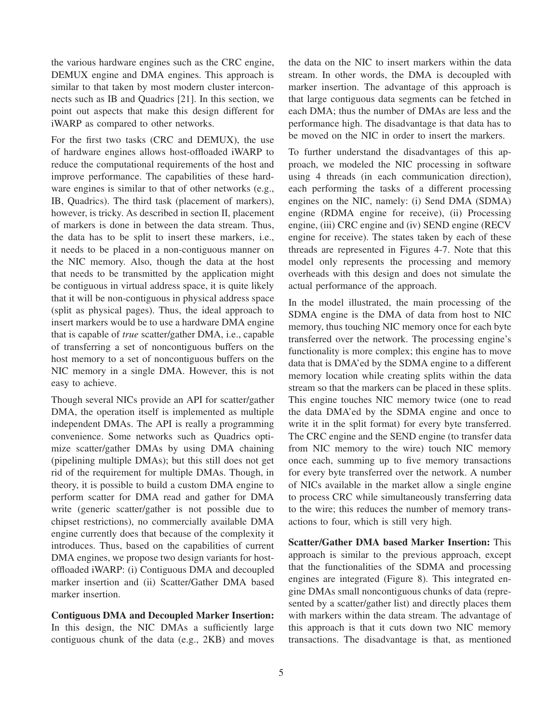the various hardware engines such as the CRC engine, DEMUX engine and DMA engines. This approach is similar to that taken by most modern cluster interconnects such as IB and Quadrics [21]. In this section, we point out aspects that make this design different for iWARP as compared to other networks.

For the first two tasks (CRC and DEMUX), the use of hardware engines allows host-offloaded iWARP to reduce the computational requirements of the host and improve performance. The capabilities of these hardware engines is similar to that of other networks (e.g., IB, Quadrics). The third task (placement of markers), however, is tricky. As described in section II, placement of markers is done in between the data stream. Thus, the data has to be split to insert these markers, i.e., it needs to be placed in a non-contiguous manner on the NIC memory. Also, though the data at the host that needs to be transmitted by the application might be contiguous in virtual address space, it is quite likely that it will be non-contiguous in physical address space (split as physical pages). Thus, the ideal approach to insert markers would be to use a hardware DMA engine that is capable of *true* scatter/gather DMA, i.e., capable of transferring a set of noncontiguous buffers on the host memory to a set of noncontiguous buffers on the NIC memory in a single DMA. However, this is not easy to achieve.

Though several NICs provide an API for scatter/gather DMA, the operation itself is implemented as multiple independent DMAs. The API is really a programming convenience. Some networks such as Quadrics optimize scatter/gather DMAs by using DMA chaining (pipelining multiple DMAs); but this still does not get rid of the requirement for multiple DMAs. Though, in theory, it is possible to build a custom DMA engine to perform scatter for DMA read and gather for DMA write (generic scatter/gather is not possible due to chipset restrictions), no commercially available DMA engine currently does that because of the complexity it introduces. Thus, based on the capabilities of current DMA engines, we propose two design variants for hostoffloaded iWARP: (i) Contiguous DMA and decoupled marker insertion and (ii) Scatter/Gather DMA based marker insertion.

**Contiguous DMA and Decoupled Marker Insertion:** In this design, the NIC DMAs a sufficiently large contiguous chunk of the data (e.g., 2KB) and moves the data on the NIC to insert markers within the data stream. In other words, the DMA is decoupled with marker insertion. The advantage of this approach is that large contiguous data segments can be fetched in each DMA; thus the number of DMAs are less and the performance high. The disadvantage is that data has to be moved on the NIC in order to insert the markers.

To further understand the disadvantages of this approach, we modeled the NIC processing in software using 4 threads (in each communication direction), each performing the tasks of a different processing engines on the NIC, namely: (i) Send DMA (SDMA) engine (RDMA engine for receive), (ii) Processing engine, (iii) CRC engine and (iv) SEND engine (RECV engine for receive). The states taken by each of these threads are represented in Figures 4-7. Note that this model only represents the processing and memory overheads with this design and does not simulate the actual performance of the approach.

In the model illustrated, the main processing of the SDMA engine is the DMA of data from host to NIC memory, thus touching NIC memory once for each byte transferred over the network. The processing engine's functionality is more complex; this engine has to move data that is DMA'ed by the SDMA engine to a different memory location while creating splits within the data stream so that the markers can be placed in these splits. This engine touches NIC memory twice (one to read the data DMA'ed by the SDMA engine and once to write it in the split format) for every byte transferred. The CRC engine and the SEND engine (to transfer data from NIC memory to the wire) touch NIC memory once each, summing up to five memory transactions for every byte transferred over the network. A number of NICs available in the market allow a single engine to process CRC while simultaneously transferring data to the wire; this reduces the number of memory transactions to four, which is still very high.

**Scatter/Gather DMA based Marker Insertion:** This approach is similar to the previous approach, except that the functionalities of the SDMA and processing engines are integrated (Figure 8). This integrated engine DMAs small noncontiguous chunks of data (represented by a scatter/gather list) and directly places them with markers within the data stream. The advantage of this approach is that it cuts down two NIC memory transactions. The disadvantage is that, as mentioned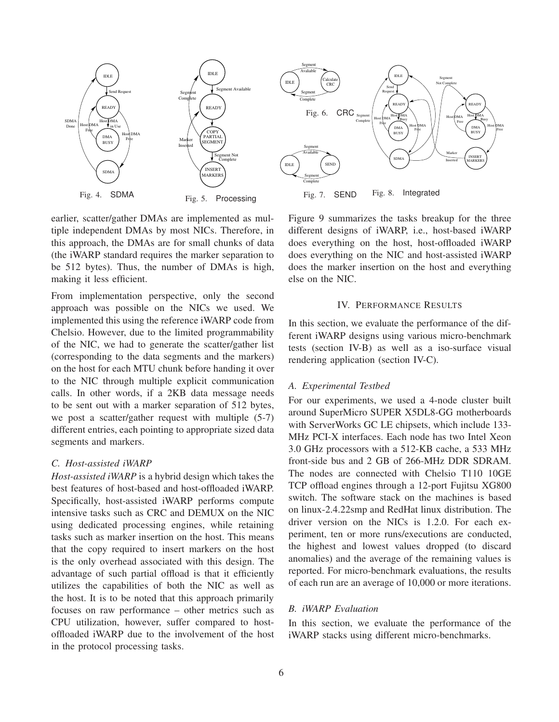



Fig. 7. SEND Fig. 8. Integrated

earlier, scatter/gather DMAs are implemented as multiple independent DMAs by most NICs. Therefore, in this approach, the DMAs are for small chunks of data (the iWARP standard requires the marker separation to be 512 bytes). Thus, the number of DMAs is high, making it less efficient.

From implementation perspective, only the second approach was possible on the NICs we used. We implemented this using the reference iWARP code from Chelsio. However, due to the limited programmability of the NIC, we had to generate the scatter/gather list (corresponding to the data segments and the markers) on the host for each MTU chunk before handing it over to the NIC through multiple explicit communication calls. In other words, if a 2KB data message needs to be sent out with a marker separation of 512 bytes, we post a scatter/gather request with multiple (5-7) different entries, each pointing to appropriate sized data segments and markers.

### *C. Host-assisted iWARP*

*Host-assisted iWARP* is a hybrid design which takes the best features of host-based and host-offloaded iWARP. Specifically, host-assisted iWARP performs compute intensive tasks such as CRC and DEMUX on the NIC using dedicated processing engines, while retaining tasks such as marker insertion on the host. This means that the copy required to insert markers on the host is the only overhead associated with this design. The advantage of such partial offload is that it efficiently utilizes the capabilities of both the NIC as well as the host. It is to be noted that this approach primarily focuses on raw performance – other metrics such as CPU utilization, however, suffer compared to hostoffloaded iWARP due to the involvement of the host in the protocol processing tasks.

Figure 9 summarizes the tasks breakup for the three different designs of iWARP, i.e., host-based iWARP does everything on the host, host-offloaded iWARP does everything on the NIC and host-assisted iWARP does the marker insertion on the host and everything else on the NIC.

#### IV. PERFORMANCE RESULTS

In this section, we evaluate the performance of the different iWARP designs using various micro-benchmark tests (section IV-B) as well as a iso-surface visual rendering application (section IV-C).

#### *A. Experimental Testbed*

For our experiments, we used a 4-node cluster built around SuperMicro SUPER X5DL8-GG motherboards with ServerWorks GC LE chipsets, which include 133- MHz PCI-X interfaces. Each node has two Intel Xeon 3.0 GHz processors with a 512-KB cache, a 533 MHz front-side bus and 2 GB of 266-MHz DDR SDRAM. The nodes are connected with Chelsio T110 10GE TCP offload engines through a 12-port Fujitsu XG800 switch. The software stack on the machines is based on linux-2.4.22smp and RedHat linux distribution. The driver version on the NICs is 1.2.0. For each experiment, ten or more runs/executions are conducted, the highest and lowest values dropped (to discard anomalies) and the average of the remaining values is reported. For micro-benchmark evaluations, the results of each run are an average of 10,000 or more iterations.

#### *B. iWARP Evaluation*

In this section, we evaluate the performance of the iWARP stacks using different micro-benchmarks.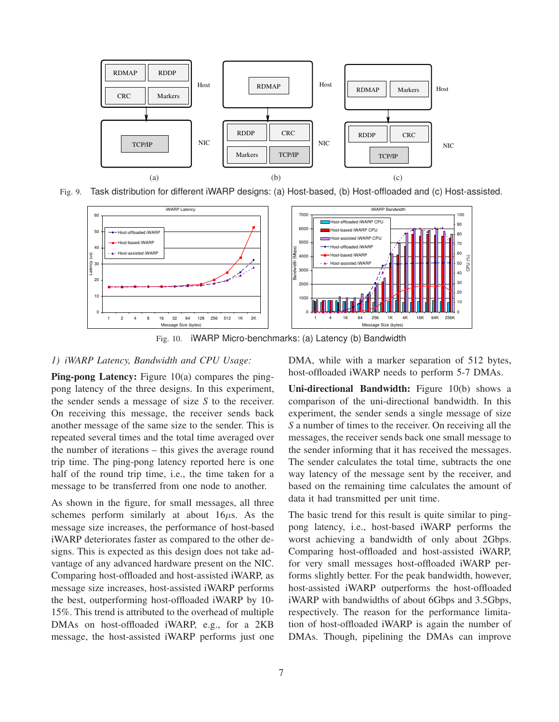





Fig. 10. iWARP Micro-benchmarks: (a) Latency (b) Bandwidth

## *1) iWARP Latency, Bandwidth and CPU Usage:*

**Ping-pong Latency:** Figure 10(a) compares the pingpong latency of the three designs. In this experiment, the sender sends a message of size *S* to the receiver. On receiving this message, the receiver sends back another message of the same size to the sender. This is repeated several times and the total time averaged over the number of iterations – this gives the average round trip time. The ping-pong latency reported here is one half of the round trip time, i.e., the time taken for a message to be transferred from one node to another.

As shown in the figure, for small messages, all three schemes perform similarly at about  $16\mu$ s. As the message size increases, the performance of host-based iWARP deteriorates faster as compared to the other designs. This is expected as this design does not take advantage of any advanced hardware present on the NIC. Comparing host-offloaded and host-assisted iWARP, as message size increases, host-assisted iWARP performs the best, outperforming host-offloaded iWARP by 10- 15%. This trend is attributed to the overhead of multiple DMAs on host-offloaded iWARP, e.g., for a 2KB message, the host-assisted iWARP performs just one DMA, while with a marker separation of 512 bytes, host-offloaded iWARP needs to perform 5-7 DMAs.

**Uni-directional Bandwidth:** Figure 10(b) shows a comparison of the uni-directional bandwidth. In this experiment, the sender sends a single message of size *S* a number of times to the receiver. On receiving all the messages, the receiver sends back one small message to the sender informing that it has received the messages. The sender calculates the total time, subtracts the one way latency of the message sent by the receiver, and based on the remaining time calculates the amount of data it had transmitted per unit time.

The basic trend for this result is quite similar to pingpong latency, i.e., host-based iWARP performs the worst achieving a bandwidth of only about 2Gbps. Comparing host-offloaded and host-assisted iWARP, for very small messages host-offloaded iWARP performs slightly better. For the peak bandwidth, however, host-assisted iWARP outperforms the host-offloaded iWARP with bandwidths of about 6Gbps and 3.5Gbps, respectively. The reason for the performance limitation of host-offloaded iWARP is again the number of DMAs. Though, pipelining the DMAs can improve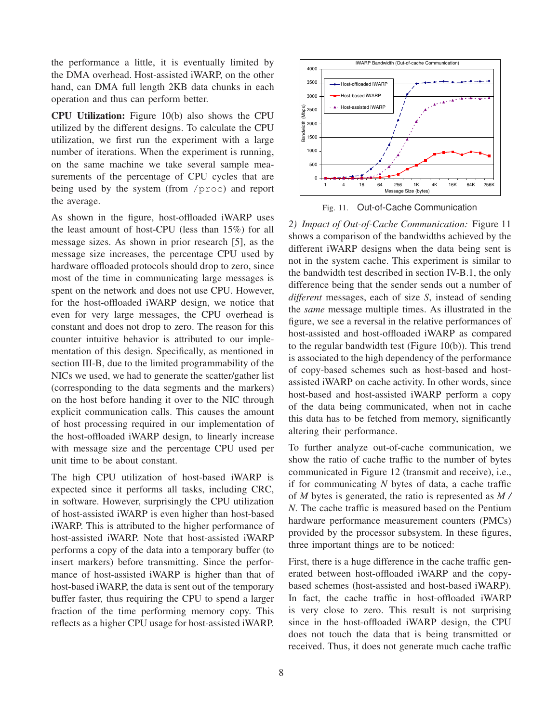the performance a little, it is eventually limited by the DMA overhead. Host-assisted iWARP, on the other hand, can DMA full length 2KB data chunks in each operation and thus can perform better.

**CPU Utilization:** Figure 10(b) also shows the CPU utilized by the different designs. To calculate the CPU utilization, we first run the experiment with a large number of iterations. When the experiment is running, on the same machine we take several sample measurements of the percentage of CPU cycles that are being used by the system (from /proc) and report the average.

As shown in the figure, host-offloaded iWARP uses the least amount of host-CPU (less than 15%) for all message sizes. As shown in prior research [5], as the message size increases, the percentage CPU used by hardware offloaded protocols should drop to zero, since most of the time in communicating large messages is spent on the network and does not use CPU. However, for the host-offloaded iWARP design, we notice that even for very large messages, the CPU overhead is constant and does not drop to zero. The reason for this counter intuitive behavior is attributed to our implementation of this design. Specifically, as mentioned in section III-B, due to the limited programmability of the NICs we used, we had to generate the scatter/gather list (corresponding to the data segments and the markers) on the host before handing it over to the NIC through explicit communication calls. This causes the amount of host processing required in our implementation of the host-offloaded iWARP design, to linearly increase with message size and the percentage CPU used per unit time to be about constant.

The high CPU utilization of host-based iWARP is expected since it performs all tasks, including CRC, in software. However, surprisingly the CPU utilization of host-assisted iWARP is even higher than host-based iWARP. This is attributed to the higher performance of host-assisted iWARP. Note that host-assisted iWARP performs a copy of the data into a temporary buffer (to insert markers) before transmitting. Since the performance of host-assisted iWARP is higher than that of host-based iWARP, the data is sent out of the temporary buffer faster, thus requiring the CPU to spend a larger fraction of the time performing memory copy. This reflects as a higher CPU usage for host-assisted iWARP.



Fig. 11. Out-of-Cache Communication

*2) Impact of Out-of-Cache Communication:* Figure 11 shows a comparison of the bandwidths achieved by the different iWARP designs when the data being sent is not in the system cache. This experiment is similar to the bandwidth test described in section IV-B.1, the only difference being that the sender sends out a number of *different* messages, each of size *S*, instead of sending the *same* message multiple times. As illustrated in the figure, we see a reversal in the relative performances of host-assisted and host-offloaded iWARP as compared to the regular bandwidth test (Figure 10(b)). This trend is associated to the high dependency of the performance of copy-based schemes such as host-based and hostassisted iWARP on cache activity. In other words, since host-based and host-assisted iWARP perform a copy of the data being communicated, when not in cache this data has to be fetched from memory, significantly altering their performance.

To further analyze out-of-cache communication, we show the ratio of cache traffic to the number of bytes communicated in Figure 12 (transmit and receive), i.e., if for communicating *N* bytes of data, a cache traffic of *M* bytes is generated, the ratio is represented as *M / N*. The cache traffic is measured based on the Pentium hardware performance measurement counters (PMCs) provided by the processor subsystem. In these figures, three important things are to be noticed:

First, there is a huge difference in the cache traffic generated between host-offloaded iWARP and the copybased schemes (host-assisted and host-based iWARP). In fact, the cache traffic in host-offloaded iWARP is very close to zero. This result is not surprising since in the host-offloaded iWARP design, the CPU does not touch the data that is being transmitted or received. Thus, it does not generate much cache traffic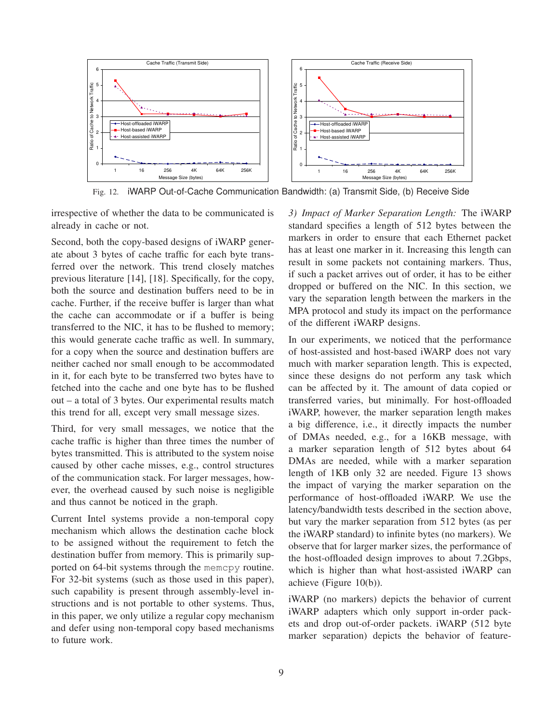

Fig. 12. iWARP Out-of-Cache Communication Bandwidth: (a) Transmit Side, (b) Receive Side

irrespective of whether the data to be communicated is already in cache or not.

Second, both the copy-based designs of iWARP generate about 3 bytes of cache traffic for each byte transferred over the network. This trend closely matches previous literature [14], [18]. Specifically, for the copy, both the source and destination buffers need to be in cache. Further, if the receive buffer is larger than what the cache can accommodate or if a buffer is being transferred to the NIC, it has to be flushed to memory; this would generate cache traffic as well. In summary, for a copy when the source and destination buffers are neither cached nor small enough to be accommodated in it, for each byte to be transferred two bytes have to fetched into the cache and one byte has to be flushed out – a total of 3 bytes. Our experimental results match this trend for all, except very small message sizes.

Third, for very small messages, we notice that the cache traffic is higher than three times the number of bytes transmitted. This is attributed to the system noise caused by other cache misses, e.g., control structures of the communication stack. For larger messages, however, the overhead caused by such noise is negligible and thus cannot be noticed in the graph.

Current Intel systems provide a non-temporal copy mechanism which allows the destination cache block to be assigned without the requirement to fetch the destination buffer from memory. This is primarily supported on 64-bit systems through the memcpy routine. For 32-bit systems (such as those used in this paper), such capability is present through assembly-level instructions and is not portable to other systems. Thus, in this paper, we only utilize a regular copy mechanism and defer using non-temporal copy based mechanisms to future work.

*3) Impact of Marker Separation Length:* The iWARP standard specifies a length of 512 bytes between the markers in order to ensure that each Ethernet packet has at least one marker in it. Increasing this length can result in some packets not containing markers. Thus, if such a packet arrives out of order, it has to be either dropped or buffered on the NIC. In this section, we vary the separation length between the markers in the MPA protocol and study its impact on the performance of the different iWARP designs.

In our experiments, we noticed that the performance of host-assisted and host-based iWARP does not vary much with marker separation length. This is expected, since these designs do not perform any task which can be affected by it. The amount of data copied or transferred varies, but minimally. For host-offloaded iWARP, however, the marker separation length makes a big difference, i.e., it directly impacts the number of DMAs needed, e.g., for a 16KB message, with a marker separation length of 512 bytes about 64 DMAs are needed, while with a marker separation length of 1KB only 32 are needed. Figure 13 shows the impact of varying the marker separation on the performance of host-offloaded iWARP. We use the latency/bandwidth tests described in the section above, but vary the marker separation from 512 bytes (as per the iWARP standard) to infinite bytes (no markers). We observe that for larger marker sizes, the performance of the host-offloaded design improves to about 7.2Gbps, which is higher than what host-assisted iWARP can achieve (Figure 10(b)).

iWARP (no markers) depicts the behavior of current iWARP adapters which only support in-order packets and drop out-of-order packets. iWARP (512 byte marker separation) depicts the behavior of feature-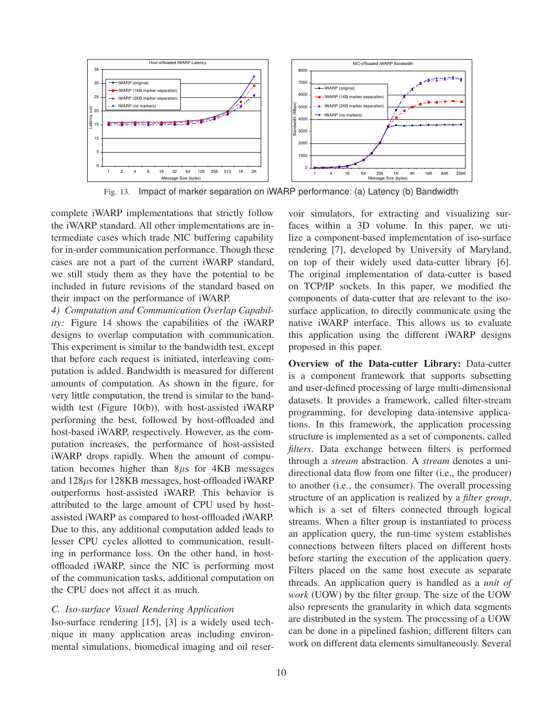

Fig. 13. Impact of marker separation on iWARP performance: (a) Latency (b) Bandwidth

complete iWARP implementations that strictly follow the iWARP standard. All other implementations are intermediate cases which trade NIC buffering capability for in-order communication performance. Though these cases are not a part of the current iWARP standard, we still study them as they have the potential to be included in future revisions of the standard based on their impact on the performance of iWARP.

*4) Computation and Communication Overlap Capability:* Figure 14 shows the capabilities of the iWARP designs to overlap computation with communication. This experiment is similar to the bandwidth test, except that before each request is initiated, interleaving computation is added. Bandwidth is measured for different amounts of computation. As shown in the figure, for very little computation, the trend is similar to the bandwidth test (Figure 10(b)), with host-assisted iWARP performing the best, followed by host-offloaded and host-based iWARP, respectively. However, as the computation increases, the performance of host-assisted iWARP drops rapidly. When the amount of computation becomes higher than 8µs for 4KB messages and 128µs for 128KB messages, host-offloaded iWARP outperforms host-assisted iWARP. This behavior is attributed to the large amount of CPU used by hostassisted iWARP as compared to host-offloaded iWARP. Due to this, any additional computation added leads to lesser CPU cycles allotted to communication, resulting in performance loss. On the other hand, in hostoffloaded iWARP, since the NIC is performing most of the communication tasks, additional computation on the CPU does not affect it as much.

### *C. Iso-surface Visual Rendering Application*

Iso-surface rendering [15], [3] is a widely used technique in many application areas including environmental simulations, biomedical imaging and oil reservoir simulators, for extracting and visualizing surfaces within a 3D volume. In this paper, we utilize a component-based implementation of iso-surface rendering [7], developed by University of Maryland, on top of their widely used data-cutter library [6]. The original implementation of data-cutter is based on TCP/IP sockets. In this paper, we modified the components of data-cutter that are relevant to the isosurface application, to directly communicate using the native iWARP interface. This allows us to evaluate this application using the different iWARP designs proposed in this paper.

**Overview of the Data-cutter Library:** Data-cutter is a component framework that supports subsetting and user-defined processing of large multi-dimensional datasets. It provides a framework, called filter-stream programming, for developing data-intensive applications. In this framework, the application processing structure is implemented as a set of components, called *filters*. Data exchange between filters is performed through a *stream* abstraction. A *stream* denotes a unidirectional data flow from one filter (i.e., the producer) to another (i.e., the consumer). The overall processing structure of an application is realized by a *filter group*, which is a set of filters connected through logical streams. When a filter group is instantiated to process an application query, the run-time system establishes connections between filters placed on different hosts before starting the execution of the application query. Filters placed on the same host execute as separate threads. An application query is handled as a *unit of work* (UOW) by the filter group. The size of the UOW also represents the granularity in which data segments are distributed in the system. The processing of a UOW can be done in a pipelined fashion; different filters can work on different data elements simultaneously. Several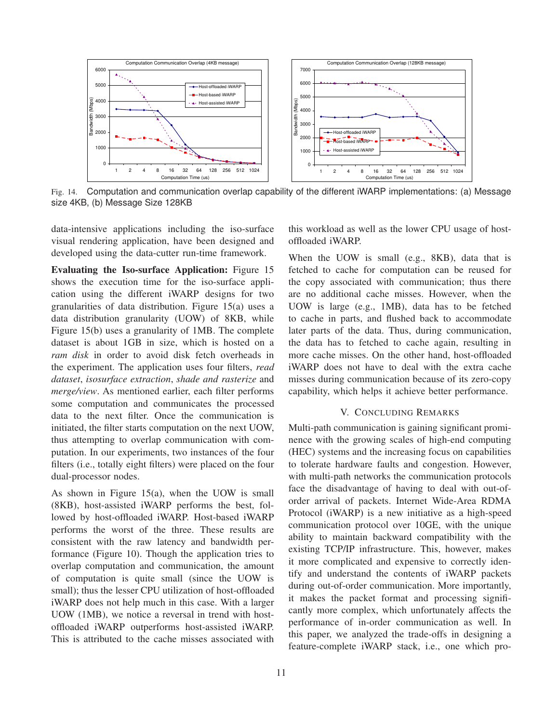

Fig. 14. Computation and communication overlap capability of the different iWARP implementations: (a) Message size 4KB, (b) Message Size 128KB

data-intensive applications including the iso-surface visual rendering application, have been designed and developed using the data-cutter run-time framework.

**Evaluating the Iso-surface Application:** Figure 15 shows the execution time for the iso-surface application using the different iWARP designs for two granularities of data distribution. Figure 15(a) uses a data distribution granularity (UOW) of 8KB, while Figure 15(b) uses a granularity of 1MB. The complete dataset is about 1GB in size, which is hosted on a *ram disk* in order to avoid disk fetch overheads in the experiment. The application uses four filters, *read dataset*, *isosurface extraction*, *shade and rasterize* and *merge/view*. As mentioned earlier, each filter performs some computation and communicates the processed data to the next filter. Once the communication is initiated, the filter starts computation on the next UOW, thus attempting to overlap communication with computation. In our experiments, two instances of the four filters (i.e., totally eight filters) were placed on the four dual-processor nodes.

As shown in Figure 15(a), when the UOW is small (8KB), host-assisted iWARP performs the best, followed by host-offloaded iWARP. Host-based iWARP performs the worst of the three. These results are consistent with the raw latency and bandwidth performance (Figure 10). Though the application tries to overlap computation and communication, the amount of computation is quite small (since the UOW is small); thus the lesser CPU utilization of host-offloaded iWARP does not help much in this case. With a larger UOW (1MB), we notice a reversal in trend with hostoffloaded iWARP outperforms host-assisted iWARP. This is attributed to the cache misses associated with

this workload as well as the lower CPU usage of hostoffloaded iWARP.

When the UOW is small (e.g., 8KB), data that is fetched to cache for computation can be reused for the copy associated with communication; thus there are no additional cache misses. However, when the UOW is large (e.g., 1MB), data has to be fetched to cache in parts, and flushed back to accommodate later parts of the data. Thus, during communication, the data has to fetched to cache again, resulting in more cache misses. On the other hand, host-offloaded iWARP does not have to deal with the extra cache misses during communication because of its zero-copy capability, which helps it achieve better performance.

## V. CONCLUDING REMARKS

Multi-path communication is gaining significant prominence with the growing scales of high-end computing (HEC) systems and the increasing focus on capabilities to tolerate hardware faults and congestion. However, with multi-path networks the communication protocols face the disadvantage of having to deal with out-oforder arrival of packets. Internet Wide-Area RDMA Protocol (iWARP) is a new initiative as a high-speed communication protocol over 10GE, with the unique ability to maintain backward compatibility with the existing TCP/IP infrastructure. This, however, makes it more complicated and expensive to correctly identify and understand the contents of iWARP packets during out-of-order communication. More importantly, it makes the packet format and processing significantly more complex, which unfortunately affects the performance of in-order communication as well. In this paper, we analyzed the trade-offs in designing a feature-complete iWARP stack, i.e., one which pro-